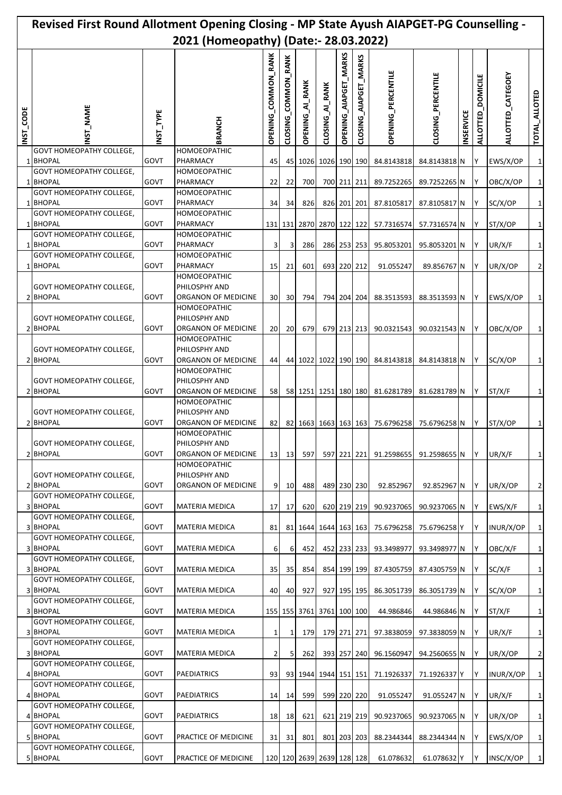|             | Revised First Round Allotment Opening Closing - MP State Ayush AIAPGET-PG Counselling - |              | 2021 (Homeopathy) (Date:- 28.03.2022)                                   |                            |                     |                             |                   |                       |                       |                           |                              |                  |                              |                      |                     |
|-------------|-----------------------------------------------------------------------------------------|--------------|-------------------------------------------------------------------------|----------------------------|---------------------|-----------------------------|-------------------|-----------------------|-----------------------|---------------------------|------------------------------|------------------|------------------------------|----------------------|---------------------|
| CODE<br>NST | _NAME<br>5                                                                              | NST_TYPE     | <b>RANCH</b>                                                            | <b>OPENING_COMMON_RANK</b> | CLOSING_COMMON_RANK | <b>OPENING_AI_RANK</b>      | CLOSING_AI_RANK   | OPENING_AIAPGET_MARKS | CLOSING_AIAPGET_MARKS | <b>OPENING_PERCENTILE</b> | CLOSING_PERCENTILE           | <b>INSERVICE</b> | <b>DOMICILE</b><br>ALLOTTED_ | ALLOTTED_CATEGOEY    | TOTAL_ALLOTED       |
|             | <b>GOVT HOMEOPATHY COLLEGE,</b><br>1 BHOPAL                                             | GOVT         | <b>HOMOEOPATHIC</b><br>PHARMACY                                         | 45                         | 45                  |                             | 1026 1026 190 190 |                       |                       | 84.8143818                | 84.8143818 N                 |                  | IY.                          | EWS/X/OP             | 1                   |
|             | <b>GOVT HOMEOPATHY COLLEGE,</b><br>1 BHOPAL                                             | GOVT         | <b>HOMOEOPATHIC</b><br>PHARMACY                                         | 22                         | 22                  | 700                         |                   |                       | 700 211 211           | 89.7252265                | 89.7252265 N                 |                  | IY.                          | OBC/X/OP             | 1                   |
|             | <b>GOVT HOMEOPATHY COLLEGE,</b><br>1 BHOPAL                                             | GOVT         | HOMOEOPATHIC<br>PHARMACY                                                | 34                         | 34                  | 826                         |                   |                       | 826 201 201           | 87.8105817                | 87.8105817 N                 |                  | IY.                          | SC/X/OP              | 1                   |
|             | <b>GOVT HOMEOPATHY COLLEGE,</b><br>1 BHOPAL                                             | GOVT         | HOMOEOPATHIC<br>PHARMACY                                                |                            | 131 131             |                             | 2870 2870 122 122 |                       |                       | 57.7316574                | 57.7316574 N                 |                  | I٢                           | ST/X/OP              | 1                   |
|             | <b>GOVT HOMEOPATHY COLLEGE.</b><br>1 BHOPAL                                             | GOVT         | HOMOEOPATHIC<br>PHARMACY                                                | 3                          | 3                   | 286                         |                   |                       | 286 253 253           | 95.8053201                | 95.8053201 N                 |                  | IΥ                           | UR/X/F               | 1                   |
|             | <b>GOVT HOMEOPATHY COLLEGE,</b><br>1 BHOPAL                                             | GOVT         | <b>HOMOEOPATHIC</b>                                                     |                            |                     |                             |                   | 693 220 212           |                       |                           |                              |                  |                              |                      |                     |
|             | <b>GOVT HOMEOPATHY COLLEGE,</b><br>2 BHOPAL                                             | GOVT         | PHARMACY<br><b>HOMOEOPATHIC</b><br>PHILOSPHY AND<br>ORGANON OF MEDICINE | 15<br>30 <sup>l</sup>      | 21<br>30            | 601<br>794                  |                   |                       | 794 204 204           | 91.055247<br>88.3513593   | 89.856767 N<br>88.3513593 N  |                  | IY.<br>IΥ                    | UR/X/OP<br>EWS/X/OP  | 2<br>1              |
|             | <b>GOVT HOMEOPATHY COLLEGE,</b><br>2 BHOPAL                                             | GOVT         | <b>HOMOEOPATHIC</b><br>PHILOSPHY AND<br>ORGANON OF MEDICINE             | 20                         | 20                  | 679                         |                   |                       | 679 213 213           | 90.0321543                | 90.0321543 N                 |                  | IY.                          | OBC/X/OP             | 1                   |
|             | <b>GOVT HOMEOPATHY COLLEGE,</b><br>2 BHOPAL                                             | GOVT         | <b>HOMOEOPATHIC</b><br>PHILOSPHY AND<br>ORGANON OF MEDICINE             | 44                         |                     | 44 1022 1022 190 190        |                   |                       |                       | 84.8143818                | 84.8143818 N                 |                  | IY.                          | SC/X/OP              | 1                   |
|             | <b>GOVT HOMEOPATHY COLLEGE,</b><br>2 BHOPAL                                             | GOVT         | HOMOEOPATHIC<br>PHILOSPHY AND<br>ORGANON OF MEDICINE                    | 58                         |                     | 58 1251 1251 180 180        |                   |                       |                       |                           | 81.6281789 81.6281789 N      |                  | IY.                          | ST/X/F               | 1                   |
|             | <b>GOVT HOMEOPATHY COLLEGE,</b><br>2 BHOPAL                                             | GOVT         | HOMOEOPATHIC<br>PHILOSPHY AND<br>ORGANON OF MEDICINE                    | 82                         | 82                  |                             | 1663 1663 163 163 |                       |                       | 75.6796258                | 75.6796258 N                 |                  | I٢                           | ST/X/OP              | 1                   |
|             | <b>GOVT HOMEOPATHY COLLEGE,</b><br>2 BHOPAL                                             | GOVT         | <b>HOMOEOPATHIC</b><br>PHILOSPHY AND<br>ORGANON OF MEDICINE             | 13                         | 13                  | 597                         |                   |                       | 597 221 221           | 91.2598655                | 91.2598655 N                 |                  | IY.                          | UR/X/F               | 1                   |
|             | <b>GOVT HOMEOPATHY COLLEGE,</b><br>2 BHOPAL                                             | GOVT         | HOMOEOPATHIC<br>PHILOSPHY AND<br>ORGANON OF MEDICINE                    | 9                          | 10 <sup>1</sup>     | 488                         |                   |                       | 489 230 230           | 92.852967                 | 92.852967 N                  |                  | IY.                          | UR/X/OP              | $\overline{2}$      |
|             | <b>GOVT HOMEOPATHY COLLEGE,</b><br>3 BHOPAL                                             | GOVT         | <b>MATERIA MEDICA</b>                                                   | 17                         | 17                  | 620                         |                   |                       | 620 219 219           | 90.9237065                | 90.9237065 N                 |                  | IY.                          | EWS/X/F              | 1                   |
|             | <b>GOVT HOMEOPATHY COLLEGE,</b><br>3 BHOPAL                                             | GOVT         | MATERIA MEDICA                                                          | 81                         | 81                  | 1644 1644 163 163           |                   |                       |                       | 75.6796258                | 75.6796258 Y                 |                  | I٢                           | INUR/X/OP            | 1                   |
|             | <b>GOVT HOMEOPATHY COLLEGE,</b><br>3 BHOPAL                                             | GOVT         | MATERIA MEDICA                                                          | 6                          | 6                   | 452                         |                   |                       | 452 233 233           | 93.3498977                | 93.3498977 N                 |                  | IY.                          | OBC/X/F              | 1                   |
|             | <b>GOVT HOMEOPATHY COLLEGE,</b><br>3 BHOPAL                                             | GOVT         | MATERIA MEDICA                                                          | 35                         | 35                  | 854                         |                   |                       | 854 199 199           | 87.4305759                | 87.4305759 N                 |                  | l Y                          | SC/X/F               | 1                   |
|             | <b>GOVT HOMEOPATHY COLLEGE,</b><br>3 BHOPAL                                             | GOVT         | MATERIA MEDICA                                                          | 40                         | 40                  | 927                         |                   |                       | 927 195 195           | 86.3051739                | 86.3051739 N                 |                  | IY.                          | SC/X/OP              | 1                   |
|             | <b>GOVT HOMEOPATHY COLLEGE,</b><br>3 BHOPAL                                             | GOVT         | MATERIA MEDICA                                                          |                            |                     | 155 155 3761 3761 100 100   |                   |                       |                       | 44.986846                 | 44.986846 N                  |                  | IY.                          | ST/X/F               | 1                   |
|             | <b>GOVT HOMEOPATHY COLLEGE,</b><br>3 BHOPAL                                             | GOVT         | <b>MATERIA MEDICA</b>                                                   |                            |                     |                             |                   |                       |                       |                           | 97.3838059 N                 |                  |                              |                      |                     |
|             | <b>GOVT HOMEOPATHY COLLEGE,</b>                                                         |              |                                                                         | $\mathbf{1}$               | $\mathbf{1}$        | 179                         |                   |                       | 179 271 271           | 97.3838059                |                              |                  | I٢                           | UR/X/F               | 1                   |
|             | 3 BHOPAL<br><b>GOVT HOMEOPATHY COLLEGE,</b><br>4 BHOPAL                                 | GOVT<br>GOVT | MATERIA MEDICA<br>PAEDIATRICS                                           | 2<br>93                    | 5                   | 262<br>93 1944 1944 151 151 |                   |                       | 393 257 240           | 96.1560947<br>71.1926337  | 94.2560655 N<br>71.1926337 Y |                  | IY.<br>I۷                    | UR/X/OP<br>INUR/X/OP | $\overline{2}$<br>1 |
|             | <b>GOVT HOMEOPATHY COLLEGE,</b><br>4 BHOPAL                                             | GOVT         | PAEDIATRICS                                                             | 14                         | 14                  | 599                         |                   |                       | 599 220 220           | 91.055247                 | 91.055247 N                  |                  | IY.                          | UR/X/F               | 1                   |
|             | <b>GOVT HOMEOPATHY COLLEGE,</b><br>4 BHOPAL                                             | GOVT         | PAEDIATRICS                                                             | 18                         | 18                  | 621                         |                   |                       | 621 219 219           | 90.9237065                | 90.9237065 N                 |                  | IY.                          | UR/X/OP              | 1                   |
|             | <b>GOVT HOMEOPATHY COLLEGE,</b><br>5 BHOPAL                                             | GOVT         | PRACTICE OF MEDICINE                                                    | 31                         | 31                  | 801                         |                   |                       | 801 203 203           | 88.2344344                | 88.2344344 N                 |                  | IY.                          | EWS/X/OP             | 1                   |
|             | <b>GOVT HOMEOPATHY COLLEGE,</b><br>5 BHOPAL                                             | GOVT         | PRACTICE OF MEDICINE                                                    |                            |                     | 120 120 2639 2639 128 128   |                   |                       |                       | 61.078632                 | 61.078632 Y                  |                  | IY                           | INSC/X/OP            | 1                   |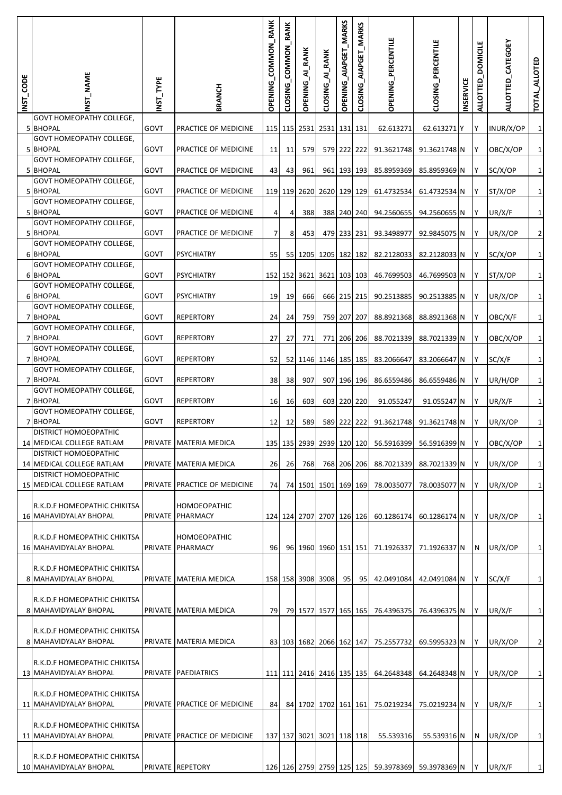| INST_CODE | INST_NAME                                                     | INST_TYPE   | <b>BRANCH</b>                           | OPENING_COMMON_RANK | RANK<br>CLOSING_COMMON | <b>OPENING_AI_RANK</b>    | CLOSING_AI_RANK   | OPENING_AIAPGET_MARKS | _MARKS<br>CLOSING_AIAPGET | OPENING_PERCENTILE | CLOSING_PERCENTILE | <b>INSERVICE</b> | <b>DOMICILE</b><br>ALLOTTED | ALLOTTED_CATEGOEY | TOTAL_ALLOTED |
|-----------|---------------------------------------------------------------|-------------|-----------------------------------------|---------------------|------------------------|---------------------------|-------------------|-----------------------|---------------------------|--------------------|--------------------|------------------|-----------------------------|-------------------|---------------|
|           | GOVT HOMEOPATHY COLLEGE,<br>5 BHOPAL                          | GOVT        | PRACTICE OF MEDICINE                    |                     |                        | 115 115 2531 2531 131 131 |                   |                       |                           | 62.613271          | 62.613271 Y        |                  | Y                           | INUR/X/OP         | $\mathbf{1}$  |
|           | <b>GOVT HOMEOPATHY COLLEGE,</b><br><b>5 BHOPAL</b>            | <b>GOVT</b> | PRACTICE OF MEDICINE                    | 11                  | 11                     | 579                       |                   |                       | 579 222 222               | 91.3621748         | 91.3621748 N       |                  | IY.                         | OBC/X/OP          | $\mathbf 1$   |
|           | <b>GOVT HOMEOPATHY COLLEGE,</b><br>5 BHOPAL                   | <b>GOVT</b> | PRACTICE OF MEDICINE                    | 43                  | 43                     | 961                       |                   |                       | 961 193 193               | 85.8959369         | 85.8959369 N       |                  | IY.                         | SC/X/OP           | $\mathbf{1}$  |
|           | <b>GOVT HOMEOPATHY COLLEGE,</b><br>5 BHOPAL                   | GOVT        | PRACTICE OF MEDICINE                    |                     |                        | 119 119 2620 2620 129 129 |                   |                       |                           | 61.4732534         | 61.4732534 N       |                  | l Y                         | ST/X/OP           | $\mathbf 1$   |
|           | <b>GOVT HOMEOPATHY COLLEGE,</b><br>5 BHOPAL                   | GOVT        | PRACTICE OF MEDICINE                    | 4                   | 4                      | 388                       |                   |                       | 388 240 240               | 94.2560655         | 94.2560655 N       |                  | IY.                         | UR/X/F            | $\mathbf{1}$  |
|           | <b>GOVT HOMEOPATHY COLLEGE,</b><br>5 BHOPAL                   | GOVT        | PRACTICE OF MEDICINE                    | $\overline{7}$      | 8                      | 453                       |                   |                       | 479 233 231               | 93.3498977         | 92.9845075 N       |                  | I٢                          | UR/X/OP           | $\mathbf 2$   |
|           | <b>GOVT HOMEOPATHY COLLEGE,</b><br>6 BHOPAL                   | GOVT        | <b>PSYCHIATRY</b>                       | 55                  | <b>55</b>              |                           | 1205 1205 182 182 |                       |                           | 82.2128033         | 82.2128033 N       |                  | IY.                         | SC/X/OP           | $\mathbf{1}$  |
|           | <b>GOVT HOMEOPATHY COLLEGE,</b><br>6 BHOPAL                   | <b>GOVT</b> | <b>PSYCHIATRY</b>                       |                     |                        | 152 152 3621 3621 103 103 |                   |                       |                           | 46.7699503         | 46.7699503 N       |                  | IY.                         | ST/X/OP           | $\mathbf 1$   |
|           | <b>GOVT HOMEOPATHY COLLEGE,</b><br>6 BHOPAL                   | GOVT        | <b>PSYCHIATRY</b>                       | 19                  | 19                     | 666                       |                   |                       | 666 215 215               | 90.2513885         | 90.2513885 N       |                  | IY.                         | UR/X/OP           | $\mathbf 1$   |
|           | <b>GOVT HOMEOPATHY COLLEGE,</b><br>7 BHOPAL                   | GOVT        | <b>REPERTORY</b>                        | 24                  | 24                     | 759                       |                   |                       | 759 207 207               | 88.8921368         | 88.8921368 N       |                  | I٢                          | OBC/X/F           | $\mathbf 1$   |
|           | <b>GOVT HOMEOPATHY COLLEGE,</b><br>7 BHOPAL                   | GOVT        | <b>REPERTORY</b>                        | 27                  | 27                     | 771                       |                   |                       | 771 206 206               | 88.7021339         | 88.7021339 N       |                  | Y                           | OBC/X/OP          | $\mathbf 1$   |
|           | <b>GOVT HOMEOPATHY COLLEGE,</b><br>7 BHOPAL                   | <b>GOVT</b> | <b>REPERTORY</b>                        | 52                  |                        |                           | 1146 1146 185 185 |                       |                           | 83.2066647         | 83.2066647 N       |                  | IY.                         | SC/X/F            | $\mathbf{1}$  |
|           | <b>GOVT HOMEOPATHY COLLEGE,</b><br><b>7 BHOPAL</b>            | GOVT        |                                         |                     | 52                     |                           |                   |                       |                           |                    |                    |                  |                             |                   | $\mathbf{1}$  |
|           | <b>GOVT HOMEOPATHY COLLEGE,</b>                               |             | <b>REPERTORY</b>                        | 38                  | 38                     | 907                       |                   |                       | 907 196 196               | 86.6559486         | 86.6559486 N       |                  | IY.                         | UR/H/OP           |               |
|           | 7 BHOPAL<br><b>GOVT HOMEOPATHY COLLEGE,</b>                   | GOVT        | <b>REPERTORY</b>                        | 16                  | 16                     | 603                       |                   |                       | 603 220 220               | 91.055247          | 91.055247 N        |                  | l Y                         | UR/X/F            | $\mathbf 1$   |
|           | 7 BHOPAL<br>DISTRICT HOMOEOPATHIC                             | GOVT        | <b>REPERTORY</b>                        | 12                  | 12                     | 589                       |                   |                       | 589 222 222               | 91.3621748         | 91.3621748 N       |                  | IY.                         | UR/X/OP           | $\mathbf{1}$  |
|           | 14 MEDICAL COLLEGE RATLAM<br><b>DISTRICT HOMOEOPATHIC</b>     |             | PRIVATE MATERIA MEDICA                  |                     |                        | 135 135 2939 2939 120 120 |                   |                       |                           | 56.5916399         | 56.5916399 N       |                  | I٢                          | OBC/X/OP          | $\mathbf{1}$  |
|           | 14 MEDICAL COLLEGE RATLAM<br><b>DISTRICT HOMOEOPATHIC</b>     |             | PRIVATE MATERIA MEDICA                  | 26                  | 26                     | 768                       |                   |                       | 768 206 206               | 88.7021339         | 88.7021339 N       |                  | Y                           | UR/X/OP           | $\mathbf{1}$  |
|           | 15 MEDICAL COLLEGE RATLAM                                     |             | PRIVATE PRACTICE OF MEDICINE            | 74                  |                        | 74 1501 1501 169 169      |                   |                       |                           | 78.0035077         | 78.0035077 N       |                  | Y                           | UR/X/OP           | $\mathbf 1$   |
|           | R.K.D.F HOMEOPATHIC CHIKITSA<br><b>16 MAHAVIDYALAY BHOPAL</b> |             | <b>HOMOEOPATHIC</b><br>PRIVATE PHARMACY |                     |                        | 124 124 2707 2707 126 126 |                   |                       |                           | 60.1286174         | 60.1286174 N       |                  | I٢                          | UR/X/OP           | $\mathbf 1$   |
|           | R.K.D.F HOMEOPATHIC CHIKITSA                                  |             | <b>HOMOEOPATHIC</b>                     |                     |                        |                           |                   |                       |                           |                    |                    |                  |                             |                   |               |
|           | 16 MAHAVIDYALAY BHOPAL                                        |             | PRIVATE PHARMACY                        | 96                  |                        | 96 1960 1960 151 151      |                   |                       |                           | 71.1926337         | 71.1926337 N       |                  | N                           | UR/X/OP           | $\mathbf 1$   |
|           | R.K.D.F HOMEOPATHIC CHIKITSA<br>8 MAHAVIDYALAY BHOPAL         |             | PRIVATE MATERIA MEDICA                  |                     |                        | 158 158 3908 3908         |                   | 95                    | 95                        | 42.0491084         | 42.0491084 N       |                  | Y                           | SC/X/F            | $\mathbf 1$   |
|           | R.K.D.F HOMEOPATHIC CHIKITSA                                  |             |                                         |                     |                        |                           |                   |                       |                           |                    |                    |                  |                             |                   |               |
|           | 8 MAHAVIDYALAY BHOPAL                                         |             | PRIVATE MATERIA MEDICA                  | 79                  |                        | 79 1577 1577 165 165      |                   |                       |                           | 76.4396375         | 76.4396375 N       |                  | Y                           | UR/X/F            | $\mathbf{1}$  |
|           | R.K.D.F HOMEOPATHIC CHIKITSA<br>8 MAHAVIDYALAY BHOPAL         |             | PRIVATE MATERIA MEDICA                  |                     |                        | 83 103 1682 2066 162 147  |                   |                       |                           | 75.2557732         | 69.5995323 N       |                  | I٢                          | UR/X/OP           | $\mathbf 2$   |
|           | R.K.D.F HOMEOPATHIC CHIKITSA                                  |             |                                         |                     |                        |                           |                   |                       |                           |                    |                    |                  |                             |                   |               |
|           | 13 MAHAVIDYALAY BHOPAL                                        |             | <b>PRIVATE PAEDIATRICS</b>              |                     |                        | 111 111 2416 2416 135 135 |                   |                       |                           | 64.2648348         | 64.2648348 N       |                  | Y                           | UR/X/OP           | $\mathbf{1}$  |
|           | R.K.D.F HOMEOPATHIC CHIKITSA<br>11 MAHAVIDYALAY BHOPAL        |             | PRIVATE PRACTICE OF MEDICINE            | 84                  |                        | 84 1702 1702 161 161      |                   |                       |                           | 75.0219234         | 75.0219234 N       |                  | l Y                         | UR/X/F            | $\mathbf{1}$  |
|           | R.K.D.F HOMEOPATHIC CHIKITSA                                  |             |                                         |                     |                        |                           |                   |                       |                           |                    |                    |                  |                             |                   |               |
|           | 11 MAHAVIDYALAY BHOPAL                                        |             | PRIVATE PRACTICE OF MEDICINE            |                     |                        | 137 137 3021 3021 118 118 |                   |                       |                           | 55.539316          | 55.539316 N        |                  | N                           | UR/X/OP           | $\mathbf{1}$  |
|           | R.K.D.F HOMEOPATHIC CHIKITSA<br>10 MAHAVIDYALAY BHOPAL        |             | PRIVATE REPETORY                        |                     |                        |                           |                   |                       |                           |                    | 59.3978369 N       |                  | IY.                         | UR/X/F            |               |
|           |                                                               |             |                                         |                     |                        | 126 126 2759 2759 125 125 |                   |                       |                           | 59.3978369         |                    |                  |                             |                   | $\mathbf{1}$  |